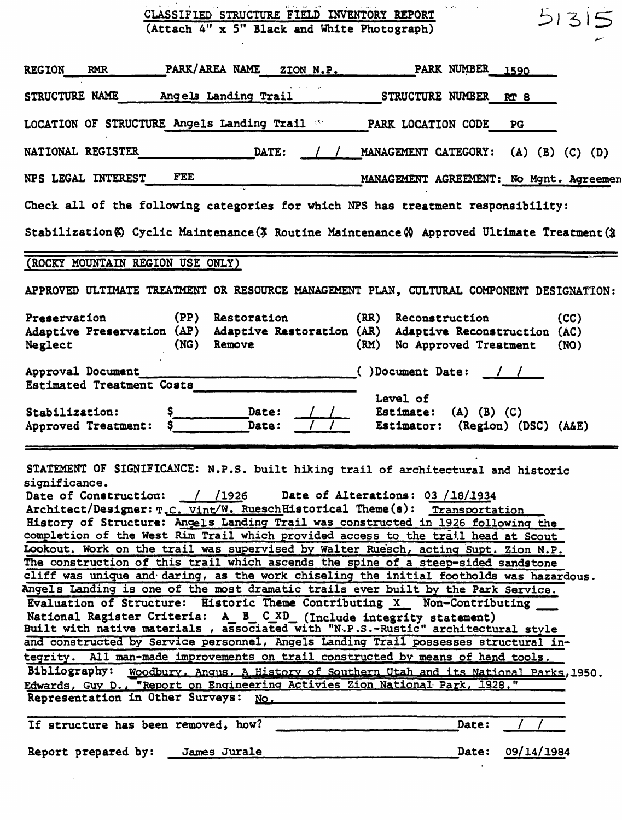| CLASSIFIED STRUCTURE FIELD INVENTORY REPORT<br>51315<br>(Attach 4" x 5" Black and White Photograph)                                                                                                                                                                                                                                                                                                                                                                                                                                                                                                                                                                                                                                                                                                                                                                                                                                                                                                                                                                                                                                                                                                                                                                                                                                                                                                                      |
|--------------------------------------------------------------------------------------------------------------------------------------------------------------------------------------------------------------------------------------------------------------------------------------------------------------------------------------------------------------------------------------------------------------------------------------------------------------------------------------------------------------------------------------------------------------------------------------------------------------------------------------------------------------------------------------------------------------------------------------------------------------------------------------------------------------------------------------------------------------------------------------------------------------------------------------------------------------------------------------------------------------------------------------------------------------------------------------------------------------------------------------------------------------------------------------------------------------------------------------------------------------------------------------------------------------------------------------------------------------------------------------------------------------------------|
| PARK/AREA NAME<br><b>PARK NUMBER</b><br><b>REGION</b><br><b>RMR</b><br>ZION N.P.<br>. 1590                                                                                                                                                                                                                                                                                                                                                                                                                                                                                                                                                                                                                                                                                                                                                                                                                                                                                                                                                                                                                                                                                                                                                                                                                                                                                                                               |
| STRUCTURE NAME<br>Angels Landing Trail<br>STRUCTURE NUMBER RT 8                                                                                                                                                                                                                                                                                                                                                                                                                                                                                                                                                                                                                                                                                                                                                                                                                                                                                                                                                                                                                                                                                                                                                                                                                                                                                                                                                          |
| LOCATION OF STRUCTURE Angels Landing Trail Strategy PARK LOCATION CODE<br>PG                                                                                                                                                                                                                                                                                                                                                                                                                                                                                                                                                                                                                                                                                                                                                                                                                                                                                                                                                                                                                                                                                                                                                                                                                                                                                                                                             |
| NATIONAL REGISTER<br>DATE:<br>MANAGEMENT CATEGORY: (A) (B) (C) (D)                                                                                                                                                                                                                                                                                                                                                                                                                                                                                                                                                                                                                                                                                                                                                                                                                                                                                                                                                                                                                                                                                                                                                                                                                                                                                                                                                       |
| FEE<br>NPS LEGAL INTEREST<br>MANAGEMENT AGREEMENT: No Mgnt. Agreemen                                                                                                                                                                                                                                                                                                                                                                                                                                                                                                                                                                                                                                                                                                                                                                                                                                                                                                                                                                                                                                                                                                                                                                                                                                                                                                                                                     |
| Check all of the following categories for which NPS has treatment responsibility:                                                                                                                                                                                                                                                                                                                                                                                                                                                                                                                                                                                                                                                                                                                                                                                                                                                                                                                                                                                                                                                                                                                                                                                                                                                                                                                                        |
| Stabilization (6) Cyclic Maintenance (3 Routine Maintenance (4) Approved Ultimate Treatment (3                                                                                                                                                                                                                                                                                                                                                                                                                                                                                                                                                                                                                                                                                                                                                                                                                                                                                                                                                                                                                                                                                                                                                                                                                                                                                                                           |
| (ROCKY MOUNTAIN REGION USE ONLY)                                                                                                                                                                                                                                                                                                                                                                                                                                                                                                                                                                                                                                                                                                                                                                                                                                                                                                                                                                                                                                                                                                                                                                                                                                                                                                                                                                                         |
| APPROVED ULTIMATE TREATMENT OR RESOURCE MANAGEMENT PLAN, CULTURAL COMPONENT DESIGNATION:                                                                                                                                                                                                                                                                                                                                                                                                                                                                                                                                                                                                                                                                                                                                                                                                                                                                                                                                                                                                                                                                                                                                                                                                                                                                                                                                 |
| (PP)<br>Preservation<br>Restoration<br>(RR) Reconstruction<br>(CC)<br>Adaptive Preservation (AP) Adaptive Restoration (AR) Adaptive Reconstruction (AC)<br>Remove<br>Neglect<br>(NG)<br>(RM) No Approved Treatment<br>(NO)                                                                                                                                                                                                                                                                                                                                                                                                                                                                                                                                                                                                                                                                                                                                                                                                                                                                                                                                                                                                                                                                                                                                                                                               |
| Approval Document<br>()Document Date:<br>Estimated Treatment Costs<br>Level of<br>Date:<br>Stabilization:<br>Estimate:<br>$(A)$ $(B)$ $(C)$<br>Date:<br>Approved Treatment:<br>Estimator: (Region) (DSC) (A&E)                                                                                                                                                                                                                                                                                                                                                                                                                                                                                                                                                                                                                                                                                                                                                                                                                                                                                                                                                                                                                                                                                                                                                                                                           |
| STATEMENT OF SIGNIFICANCE: N.P.S. built hiking trail of architectural and historic<br>significance.<br>Date of Construction: / /1926 Date of Alterations: 03 /18/1934<br>Architect/Designer: T.C. Vint/W. RueschHistorical Theme(s): Transportation<br>History of Structure: Angels Landing Trail was constructed in 1926 following the<br>completion of the West Rim Trail which provided access to the trail head at Scout<br>Lookout. Work on the trail was supervised by Walter Ruesch, acting Supt. Zion N.P.<br>The construction of this trail which ascends the spine of a steep-sided sandstone<br>cliff was unique and daring, as the work chiseling the initial footholds was hazardous.<br>Angels Landing is one of the most dramatic trails ever built by the Park Service.<br>Evaluation of Structure: Historic Theme Contributing X Non-Contributing<br>National Register Criteria: A B C_XD (Include integrity statement)<br>Built with native materials, associated with "N.P.S.-Rustic" architectural style<br>and constructed by Service personnel, Angels Landing Trail possesses structural in-<br>tegrity. All man-made improvements on trail constructed by means of hand tools.<br>Bibliography: Woodbury, Angus, A History of Southern Utah and its National Parks, 1950.<br>Edwards, Guy D., "Report on Engineering Activies Zion National Park, 1928."<br>Representation in Other Surveys: No. |
| If structure has been removed, how?<br>Date:<br>Date: 09/14/1984<br>Report prepared by: James Jurale                                                                                                                                                                                                                                                                                                                                                                                                                                                                                                                                                                                                                                                                                                                                                                                                                                                                                                                                                                                                                                                                                                                                                                                                                                                                                                                     |
|                                                                                                                                                                                                                                                                                                                                                                                                                                                                                                                                                                                                                                                                                                                                                                                                                                                                                                                                                                                                                                                                                                                                                                                                                                                                                                                                                                                                                          |

 $\sim 10^6$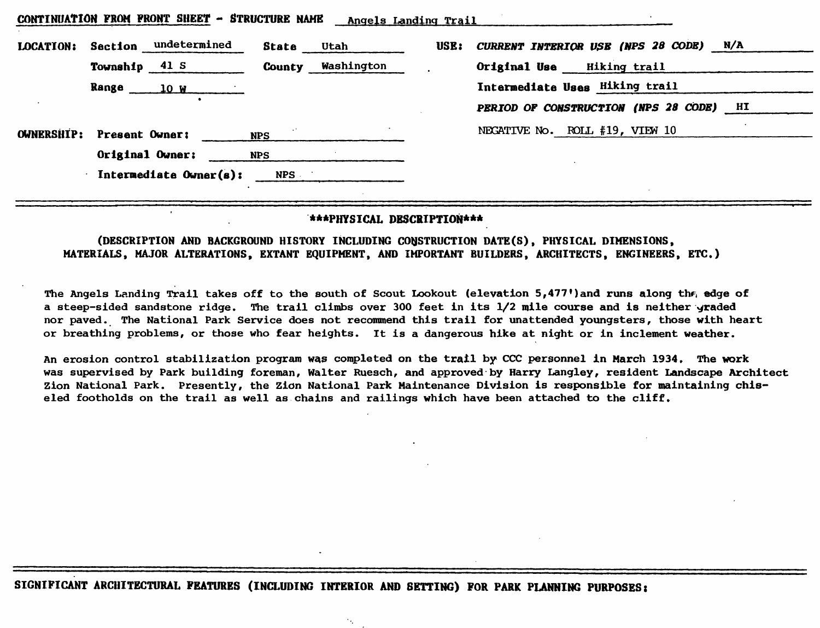|                   | CONTINUATION FACT FRONT DHEEL - BIRUCIURE NAME | unders reported iterf |      |                                                  |
|-------------------|------------------------------------------------|-----------------------|------|--------------------------------------------------|
| <b>LOCATION:</b>  | undetermined<br>Section                        | State<br>Utah         | USE: | <b>CURRENT INTERIOR USE (NPS 28 CODE)</b><br>N/A |
|                   | 41S<br>Township                                | Washington<br>County  |      | <b>Hiking trail</b><br>Original Use              |
|                   | Range<br>10W                                   |                       |      | Intermediate Uses Hiking trail                   |
|                   |                                                |                       |      | PERIOD OF CONSTRUCTION (NPS 28 CODE)<br>HI       |
| <b>OWNERSHIP:</b> | Present Owner:                                 | <b>NPS</b>            |      | NEGATIVE No. ROLL #19, VIEW 10                   |
|                   | Original Owner:                                | <b>NPS</b>            |      |                                                  |
|                   | Intermediate Owner(s):                         | <b>NPS</b>            |      |                                                  |

**CONTINUATION FROM FRONT SHEET - STRUCTURE NAME Angels Landinq Trail**

## **\*\*\*PHYSICAL DESCRIPTION\*\*\***

**(DESCRIPTION AND BACKGROUND HISTORY INCLUDING CONSTRUCTION DATE(S), PHYSICAL DIMENSIONS, MATERIALS, MAJOR ALTERATIONS, EXTANT EQUIPMENT, AND IMPORTANT BUILDERS, ARCHITECTS, ENGINEERS, ETC.)**

The Angels Landing Trail takes off to the south of Scout Lookout (elevation 5,477')and runs along th $\epsilon_i$  edge of a steep-sided sandstone ridge. The trail climbs over 300 feet in its 1/2 mile course and is neither graded nor paved. The National Park Service does not recommend this trail for unattended youngsters, those with heart or breathing problems, or those who fear heights. It is a dangerous hike at night or in inclement weather.

An erosion control stabilization program was completed on the trail by CCC personnel in March 1934. The work was supervised by Park building foreman, Walter Ruesch, and approved by Harry Langley, resident Landscape Architect Zion National Park. Presently, the Zidn National Fark Maintenance Division is responsible for maintaining chiseled footholds on the trail as well as chains and railings which have been attached to the cliff.

٠.,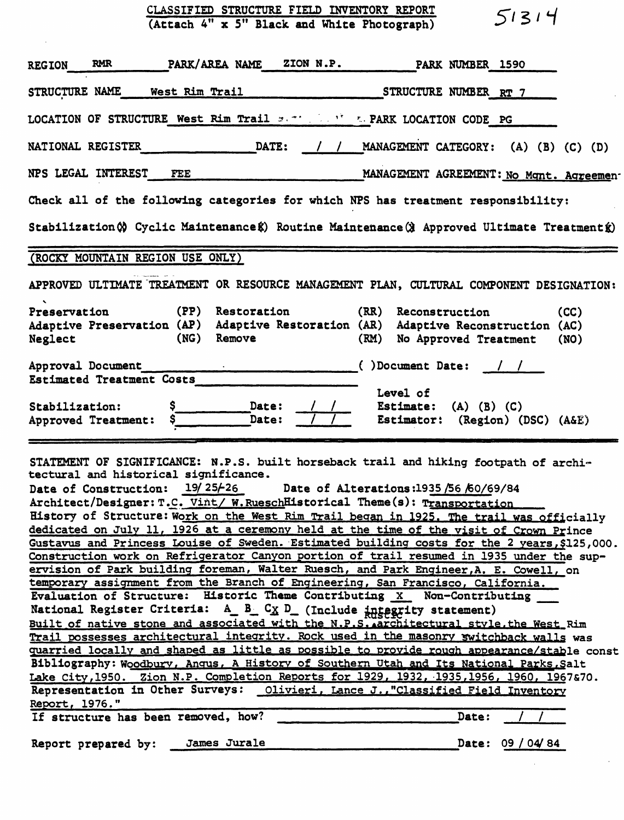| CLASSIFIED STRUCTURE FIELD INVENTORY REPORT<br>51314<br>(Attach 4" x 5" Black and White Photograph)                                                                                                                                              |  |  |  |  |  |  |
|--------------------------------------------------------------------------------------------------------------------------------------------------------------------------------------------------------------------------------------------------|--|--|--|--|--|--|
| PARK/AREA NAME ZION N.P. PARK NUMBER 1590<br><b>RMR</b><br><b>REGION</b>                                                                                                                                                                         |  |  |  |  |  |  |
| STRUCTURE NAME<br>West Rim Trail<br>STRUCTURE NUMBER RT 7                                                                                                                                                                                        |  |  |  |  |  |  |
| LOCATION OF STRUCTURE West Rim Trail set the Mark LOCATION CODE PG                                                                                                                                                                               |  |  |  |  |  |  |
| DATE: / / MANAGEMENT CATEGORY: (A) (B) (C) (D)<br><b>NATIONAL REGISTER</b>                                                                                                                                                                       |  |  |  |  |  |  |
| NPS LEGAL INTEREST<br>FEE<br>MANAGEMENT AGREEMENT: No Mant. Agreemen-                                                                                                                                                                            |  |  |  |  |  |  |
| Check all of the following categories for which NPS has treatment responsibility:                                                                                                                                                                |  |  |  |  |  |  |
| Stabilization (x) Cyclic Maintenance (x) Routine Maintenance (x) Approved Ultimate Treatment (x)                                                                                                                                                 |  |  |  |  |  |  |
| (ROCKY MOUNTAIN REGION USE ONLY)                                                                                                                                                                                                                 |  |  |  |  |  |  |
| APPROVED ULTIMATE TREATMENT OR RESOURCE MANAGEMENT PLAN, CULTURAL COMPONENT DESIGNATION:                                                                                                                                                         |  |  |  |  |  |  |
| $\mathbf{A}$<br>(PP)<br>Restoration<br>(RR) Reconstruction<br>Preservation<br>(CC)<br>Adaptive Preservation (AP) Adaptive Restoration (AR)<br>Adaptive Reconstruction (AC)<br>(NG)<br>Remove<br>Neglect<br>(RM)<br>No Approved Treatment<br>(NO) |  |  |  |  |  |  |
|                                                                                                                                                                                                                                                  |  |  |  |  |  |  |
| ()Document Date: / /<br>Approval Document<br>Estimated Treatment Costs<br>Level of                                                                                                                                                               |  |  |  |  |  |  |

STATEMENT OF SIGNIFICANCE: N.P.S. built horseback trail and hiking footpath of architectural and historical significance. Date of Construction:  $19/25/26$  Date of Alterations:1935 /56 /60/69/84 Architect/Designer: T.C. Vint/ W. RueschHistorical Theme(s): Transportation History of Structure: Work on the West Rim Trail began in 1925. The trail was officially dedicated on July 11, 1926 at a ceremony held at the time of the visit of Crown Prince Gustavus and Princess Louise of Sweden. Estimated building costs for the 2 years, \$125,000. Construction work on Refrigerator Canyon portion of trail resumed in 1935 under the supervision of Park building foreman, Walter Ruesch, and Park Engineer, A. E. Cowell, on temporary assignment from the Branch of Engineering, San Francisco, California. Evaluation of Structure: Historic Theme Contributing X Non-Contributing \_\_ National Register Criteria: A\_ B\_ CX D\_ (Include integrity statement) Built of native stone and associated with the N.P.S. architectural style. the West Rim Trail possesses architectural integrity. Rock used in the masonry switchback walls was quarried locally and shaped as little as possible to provide rough appearance/stable const Bibliography: Woodbury, Anqus, A History of Southern Utah and Its National Parks, Salt Lake City, 1950. Zion N.P. Completion Reports for 1929, 1932, 1935, 1956, 1960, 1967&70. Representation in Other Surveys: Olivieri, Lance J., "Classified Field Inventory Report,  $1976.$ "<br>If structure has been removed, how?  $\sqrt{2}$ If structure has been removed, how?

Report prepared by: James Jurale 2008 2008 2012 12:09 / 04/84